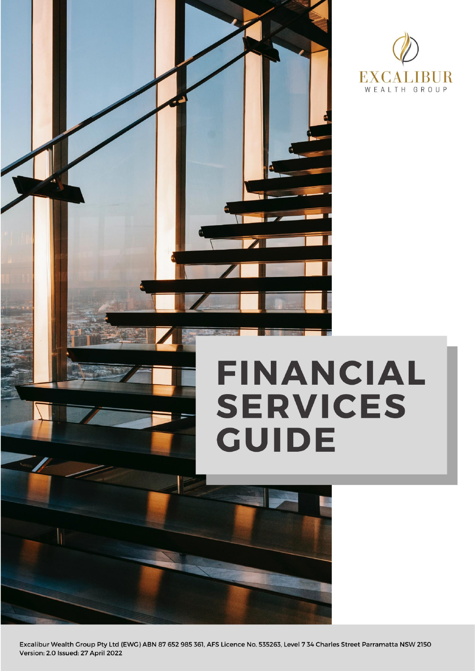



# **FINANCIAL SERVICES GUIDE**

Excalibur Wealth Group Pty Ltd (EWG) ABN 87 652 985 361, AFS Licence No. 535263, Level 7 34 Charles Street Parramatta NSW 2150 Version: 2.0 Issued: 27 April 2022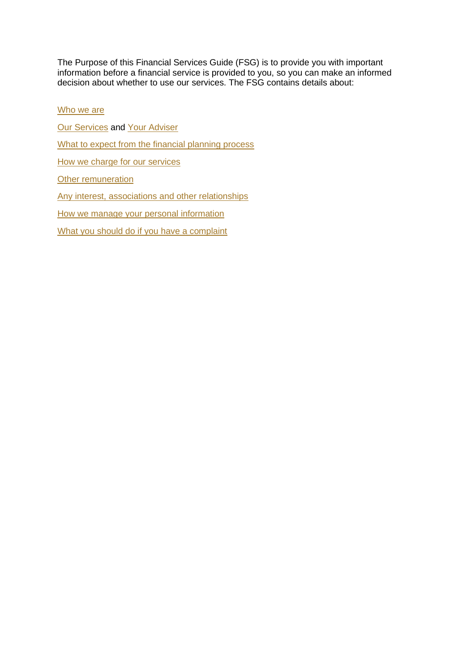The Purpose of this Financial Services Guide (FSG) is to provide you with important information before a financial service is provided to you, so you can make an informed decision about whether to use our services. The FSG contains details about:

Who we are [Our Services](#page-2-0) and [Your Adviser](#page-3-0) [What to expect from the financial planning process](#page-3-1) [How we charge](#page-4-0) for our services **[Other remuneration](#page-7-0)** [Any interest, associations and other relationships](#page-8-0) [How we manage your personal information](#page-9-0) [What you should do if you have a complaint](#page-10-0)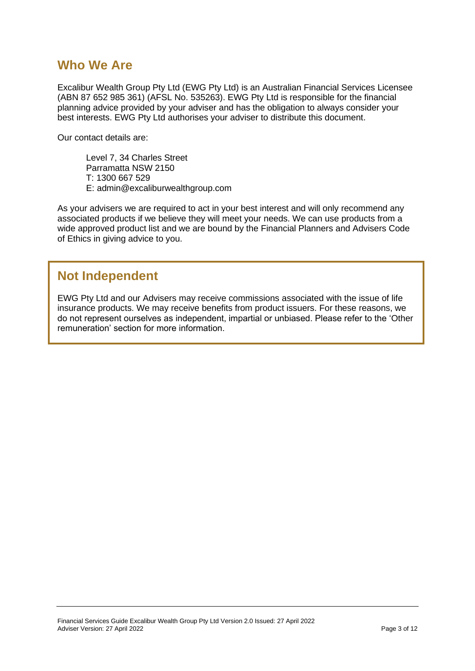## **Who We Are**

Excalibur Wealth Group Pty Ltd (EWG Pty Ltd) is an Australian Financial Services Licensee (ABN 87 652 985 361) (AFSL No. 535263). EWG Pty Ltd is responsible for the financial planning advice provided by your adviser and has the obligation to always consider your best interests. EWG Pty Ltd authorises your adviser to distribute this document.

Our contact details are:

Level 7, 34 Charles Street Parramatta NSW 2150 T: 1300 667 529 E: admin@excaliburwealthgroup.com

As your advisers we are required to act in your best interest and will only recommend any associated products if we believe they will meet your needs. We can use products from a wide approved product list and we are bound by the Financial Planners and Advisers Code of Ethics in giving advice to you.

## **Not Independent**

<span id="page-2-0"></span>EWG Pty Ltd and our Advisers may receive commissions associated with the issue of life insurance products. We may receive benefits from product issuers. For these reasons, we do not represent ourselves as independent, impartial or unbiased. Please refer to the 'Other remuneration' section for more information.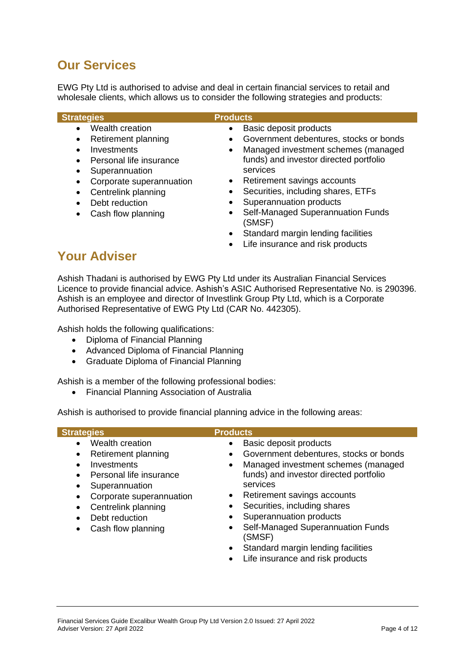# **Our Services**

EWG Pty Ltd is authorised to advise and deal in certain financial services to retail and wholesale clients, which allows us to consider the following strategies and products:

| <b>Strategies</b>                                                                                                                                                                                                                                                                | <b>Products</b>                                                                                                                                                                                                                                                                                                                                                     |
|----------------------------------------------------------------------------------------------------------------------------------------------------------------------------------------------------------------------------------------------------------------------------------|---------------------------------------------------------------------------------------------------------------------------------------------------------------------------------------------------------------------------------------------------------------------------------------------------------------------------------------------------------------------|
| Wealth creation<br>$\bullet$<br>Retirement planning<br>$\bullet$<br>Investments<br>Personal life insurance<br>$\bullet$<br>Superannuation<br>٠<br>Corporate superannuation<br>$\bullet$<br>Centrelink planning<br>$\bullet$<br>Debt reduction<br>Cash flow planning<br>$\bullet$ | Basic deposit products<br>$\bullet$<br>Government debentures, stocks or bonds<br>$\bullet$<br>Managed investment schemes (managed<br>$\bullet$<br>funds) and investor directed portfolio<br>services<br>Retirement savings accounts<br>$\bullet$<br>Securities, including shares, ETFs<br>Superannuation products<br>Self-Managed Superannuation Funds<br>$\bullet$ |
|                                                                                                                                                                                                                                                                                  | (SMSF)<br>Standard margin lending facilities                                                                                                                                                                                                                                                                                                                        |

• Life insurance and risk products

# <span id="page-3-0"></span>**Your Adviser**

Ashish Thadani is authorised by EWG Pty Ltd under its Australian Financial Services Licence to provide financial advice. Ashish's ASIC Authorised Representative No. is 290396. Ashish is an employee and director of Investlink Group Pty Ltd, which is a Corporate Authorised Representative of EWG Pty Ltd (CAR No. 442305).

Ashish holds the following qualifications:

- Diploma of Financial Planning
- Advanced Diploma of Financial Planning
- Graduate Diploma of Financial Planning

Ashish is a member of the following professional bodies:

• Financial Planning Association of Australia

Ashish is authorised to provide financial planning advice in the following areas:

<span id="page-3-1"></span>

| Wealth creation<br>Basic deposit products<br>$\bullet$<br>$\bullet$<br>Government debentures, stocks or bonds<br>Retirement planning<br>$\bullet$<br>٠<br>Managed investment schemes (managed<br>Investments<br>$\bullet$<br>funds) and investor directed portfolio<br>Personal life insurance<br>$\bullet$<br>services<br>Superannuation<br>٠<br>Retirement savings accounts<br>Corporate superannuation<br>$\bullet$<br>Securities, including shares<br>Centrelink planning<br>Superannuation products<br>Debt reduction<br>$\bullet$<br>Self-Managed Superannuation Funds<br>Cash flow planning<br>$\bullet$<br>٠<br>(SMSF)<br>Standard margin lending facilities<br>$\bullet$<br>Life insurance and risk products<br>$\bullet$ | <b>Strategies</b> | <b>Products</b> |
|------------------------------------------------------------------------------------------------------------------------------------------------------------------------------------------------------------------------------------------------------------------------------------------------------------------------------------------------------------------------------------------------------------------------------------------------------------------------------------------------------------------------------------------------------------------------------------------------------------------------------------------------------------------------------------------------------------------------------------|-------------------|-----------------|
|                                                                                                                                                                                                                                                                                                                                                                                                                                                                                                                                                                                                                                                                                                                                    |                   |                 |
|                                                                                                                                                                                                                                                                                                                                                                                                                                                                                                                                                                                                                                                                                                                                    |                   |                 |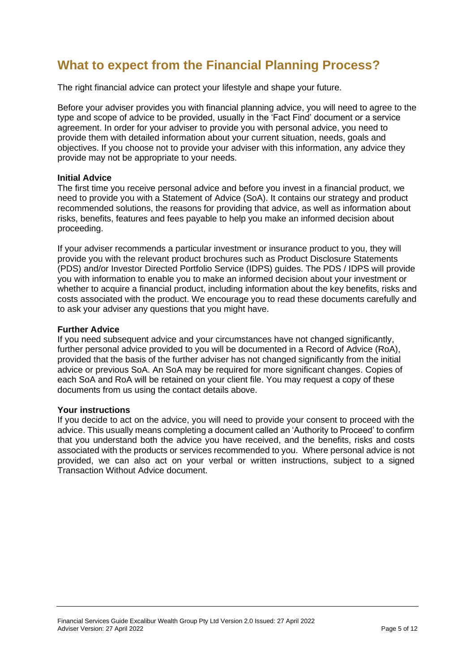# **What to expect from the Financial Planning Process?**

The right financial advice can protect your lifestyle and shape your future.

Before your adviser provides you with financial planning advice, you will need to agree to the type and scope of advice to be provided, usually in the 'Fact Find' document or a service agreement. In order for your adviser to provide you with personal advice, you need to provide them with detailed information about your current situation, needs, goals and objectives. If you choose not to provide your adviser with this information, any advice they provide may not be appropriate to your needs.

## **Initial Advice**

The first time you receive personal advice and before you invest in a financial product, we need to provide you with a Statement of Advice (SoA). It contains our strategy and product recommended solutions, the reasons for providing that advice, as well as information about risks, benefits, features and fees payable to help you make an informed decision about proceeding.

If your adviser recommends a particular investment or insurance product to you, they will provide you with the relevant product brochures such as Product Disclosure Statements (PDS) and/or Investor Directed Portfolio Service (IDPS) guides. The PDS / IDPS will provide you with information to enable you to make an informed decision about your investment or whether to acquire a financial product, including information about the key benefits, risks and costs associated with the product. We encourage you to read these documents carefully and to ask your adviser any questions that you might have.

## **Further Advice**

If you need subsequent advice and your circumstances have not changed significantly, further personal advice provided to you will be documented in a Record of Advice (RoA), provided that the basis of the further adviser has not changed significantly from the initial advice or previous SoA. An SoA may be required for more significant changes. Copies of each SoA and RoA will be retained on your client file. You may request a copy of these documents from us using the contact details above.

#### **Your instructions**

<span id="page-4-0"></span>If you decide to act on the advice, you will need to provide your consent to proceed with the advice. This usually means completing a document called an 'Authority to Proceed' to confirm that you understand both the advice you have received, and the benefits, risks and costs associated with the products or services recommended to you. Where personal advice is not provided, we can also act on your verbal or written instructions, subject to a signed Transaction Without Advice document.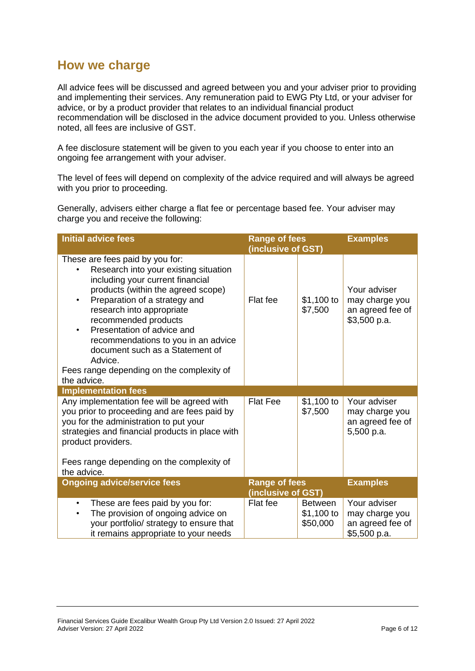## **How we charge**

All advice fees will be discussed and agreed between you and your adviser prior to providing and implementing their services. Any remuneration paid to EWG Pty Ltd, or your adviser for advice, or by a product provider that relates to an individual financial product recommendation will be disclosed in the advice document provided to you. Unless otherwise noted, all fees are inclusive of GST.

A fee disclosure statement will be given to you each year if you choose to enter into an ongoing fee arrangement with your adviser.

The level of fees will depend on complexity of the advice required and will always be agreed with you prior to proceeding.

Generally, advisers either charge a flat fee or percentage based fee. Your adviser may charge you and receive the following:

| <b>Initial advice fees</b>                                                                                                                                                                                                                                                                                                                                                                                                           | <b>Range of fees</b><br>(inclusive of GST) |                                          | <b>Examples</b>                                                    |
|--------------------------------------------------------------------------------------------------------------------------------------------------------------------------------------------------------------------------------------------------------------------------------------------------------------------------------------------------------------------------------------------------------------------------------------|--------------------------------------------|------------------------------------------|--------------------------------------------------------------------|
| These are fees paid by you for:<br>Research into your existing situation<br>including your current financial<br>products (within the agreed scope)<br>Preparation of a strategy and<br>$\bullet$<br>research into appropriate<br>recommended products<br>Presentation of advice and<br>recommendations to you in an advice<br>document such as a Statement of<br>Advice.<br>Fees range depending on the complexity of<br>the advice. | Flat fee                                   | \$1,100 to<br>\$7,500                    | Your adviser<br>may charge you<br>an agreed fee of<br>\$3,500 p.a. |
| <b>Implementation fees</b>                                                                                                                                                                                                                                                                                                                                                                                                           |                                            |                                          |                                                                    |
| Any implementation fee will be agreed with<br>you prior to proceeding and are fees paid by<br>you for the administration to put your<br>strategies and financial products in place with<br>product providers.                                                                                                                                                                                                                        | <b>Flat Fee</b>                            | \$1,100 to<br>\$7,500                    | Your adviser<br>may charge you<br>an agreed fee of<br>5,500 p.a.   |
| Fees range depending on the complexity of<br>the advice.                                                                                                                                                                                                                                                                                                                                                                             |                                            |                                          |                                                                    |
| <b>Ongoing advice/service fees</b>                                                                                                                                                                                                                                                                                                                                                                                                   | <b>Range of fees</b><br>(inclusive of GST) |                                          | <b>Examples</b>                                                    |
| These are fees paid by you for:<br>$\bullet$<br>The provision of ongoing advice on<br>$\bullet$<br>your portfolio/ strategy to ensure that<br>it remains appropriate to your needs                                                                                                                                                                                                                                                   | Flat fee                                   | <b>Between</b><br>\$1,100 to<br>\$50,000 | Your adviser<br>may charge you<br>an agreed fee of<br>\$5,500 p.a. |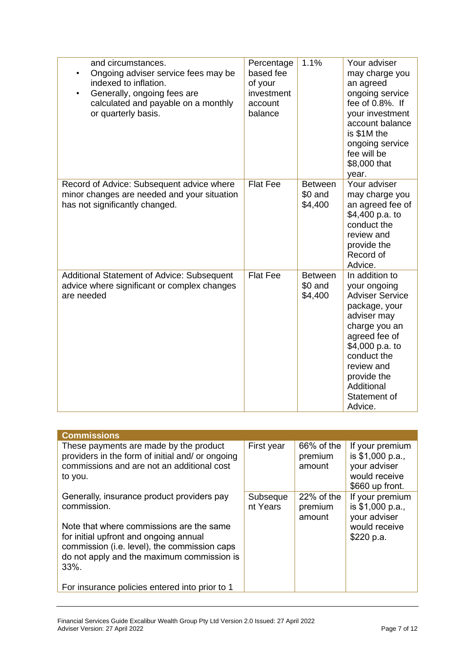| and circumstances.<br>Ongoing adviser service fees may be<br>indexed to inflation.<br>Generally, ongoing fees are<br>calculated and payable on a monthly<br>or quarterly basis. | Percentage<br>based fee<br>of your<br>investment<br>account<br>balance | 1.1%                                 | Your adviser<br>may charge you<br>an agreed<br>ongoing service<br>fee of 0.8%. If<br>your investment<br>account balance<br>is \$1M the<br>ongoing service<br>fee will be<br>\$8,000 that<br>year.                                  |
|---------------------------------------------------------------------------------------------------------------------------------------------------------------------------------|------------------------------------------------------------------------|--------------------------------------|------------------------------------------------------------------------------------------------------------------------------------------------------------------------------------------------------------------------------------|
| Record of Advice: Subsequent advice where<br>minor changes are needed and your situation<br>has not significantly changed.                                                      | <b>Flat Fee</b>                                                        | <b>Between</b><br>\$0 and<br>\$4,400 | Your adviser<br>may charge you<br>an agreed fee of<br>\$4,400 p.a. to<br>conduct the<br>review and<br>provide the<br>Record of<br>Advice.                                                                                          |
| Additional Statement of Advice: Subsequent<br>advice where significant or complex changes<br>are needed                                                                         | <b>Flat Fee</b>                                                        | <b>Between</b><br>\$0 and<br>\$4,400 | In addition to<br>your ongoing<br><b>Adviser Service</b><br>package, your<br>adviser may<br>charge you an<br>agreed fee of<br>\$4,000 p.a. to<br>conduct the<br>review and<br>provide the<br>Additional<br>Statement of<br>Advice. |

| <b>Commissions</b>                                                                                                                                                                       |                      |                                 |                                                                                         |
|------------------------------------------------------------------------------------------------------------------------------------------------------------------------------------------|----------------------|---------------------------------|-----------------------------------------------------------------------------------------|
| These payments are made by the product<br>providers in the form of initial and/ or ongoing<br>commissions and are not an additional cost<br>to you.                                      | First year           | 66% of the<br>premium<br>amount | If your premium<br>is \$1,000 p.a.,<br>your adviser<br>would receive<br>\$660 up front. |
| Generally, insurance product providers pay<br>commission.                                                                                                                                | Subseque<br>nt Years | 22% of the<br>premium<br>amount | If your premium<br>is \$1,000 p.a.,<br>your adviser                                     |
| Note that where commissions are the same<br>for initial upfront and ongoing annual<br>commission (i.e. level), the commission caps<br>do not apply and the maximum commission is<br>33%. |                      |                                 | would receive<br>\$220 p.a.                                                             |
| For insurance policies entered into prior to 1                                                                                                                                           |                      |                                 |                                                                                         |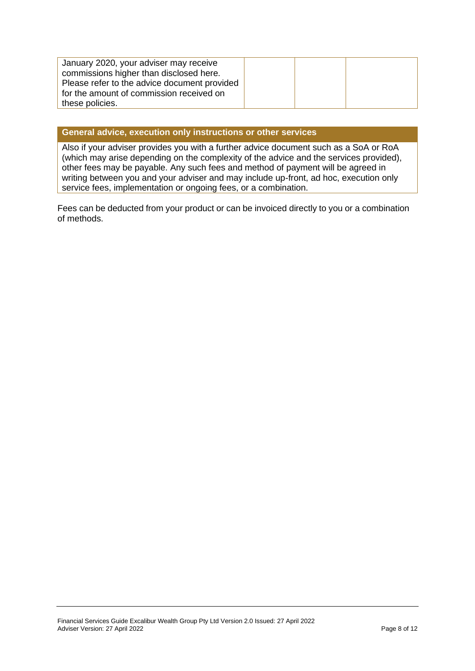| January 2020, your adviser may receive       |  |
|----------------------------------------------|--|
| commissions higher than disclosed here.      |  |
| Please refer to the advice document provided |  |
| for the amount of commission received on     |  |
| these policies.                              |  |

#### **General advice, execution only instructions or other services**

Also if your adviser provides you with a further advice document such as a SoA or RoA (which may arise depending on the complexity of the advice and the services provided), other fees may be payable. Any such fees and method of payment will be agreed in writing between you and your adviser and may include up-front, ad hoc, execution only service fees, implementation or ongoing fees, or a combination.

<span id="page-7-0"></span>Fees can be deducted from your product or can be invoiced directly to you or a combination of methods.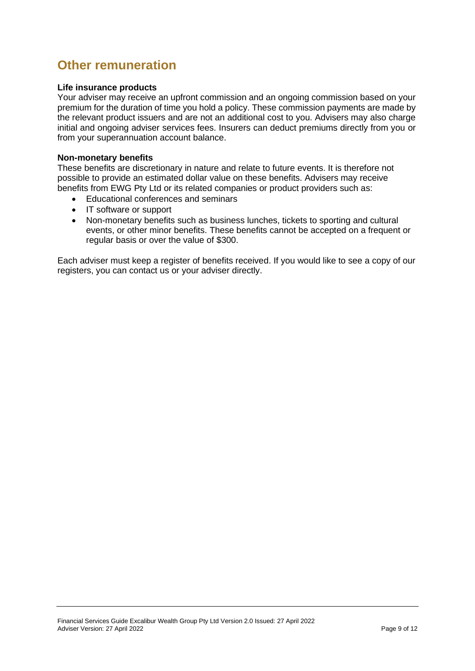## **Other remuneration**

#### **Life insurance products**

Your adviser may receive an upfront commission and an ongoing commission based on your premium for the duration of time you hold a policy. These commission payments are made by the relevant product issuers and are not an additional cost to you. Advisers may also charge initial and ongoing adviser services fees. Insurers can deduct premiums directly from you or from your superannuation account balance.

#### **Non-monetary benefits**

These benefits are discretionary in nature and relate to future events. It is therefore not possible to provide an estimated dollar value on these benefits. Advisers may receive benefits from EWG Pty Ltd or its related companies or product providers such as:

- Educational conferences and seminars
- IT software or support
- Non-monetary benefits such as business lunches, tickets to sporting and cultural events, or other minor benefits. These benefits cannot be accepted on a frequent or regular basis or over the value of \$300.

<span id="page-8-0"></span>Each adviser must keep a register of benefits received. If you would like to see a copy of our registers, you can contact us or your adviser directly.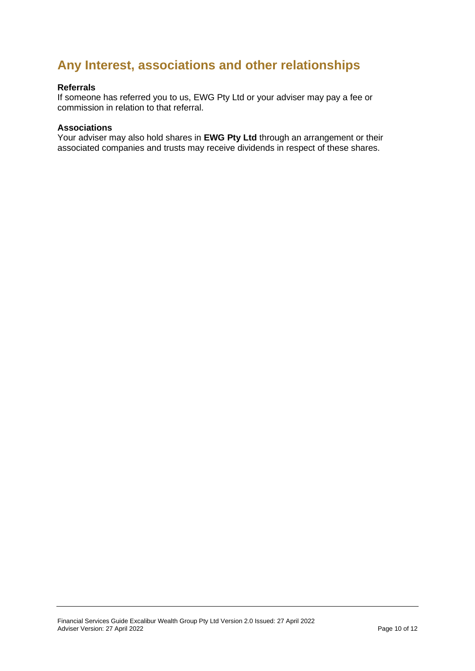# **Any Interest, associations and other relationships**

#### **Referrals**

If someone has referred you to us, EWG Pty Ltd or your adviser may pay a fee or commission in relation to that referral.

#### **Associations**

<span id="page-9-0"></span>Your adviser may also hold shares in **EWG Pty Ltd** through an arrangement or their associated companies and trusts may receive dividends in respect of these shares.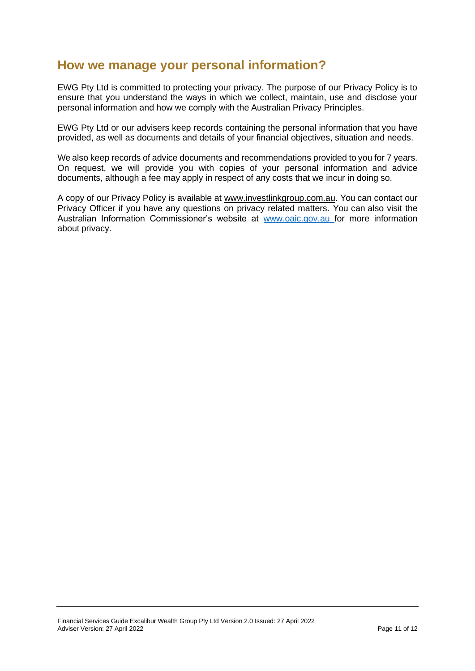## **How we manage your personal information?**

EWG Pty Ltd is committed to protecting your privacy. The purpose of our Privacy Policy is to ensure that you understand the ways in which we collect, maintain, use and disclose your personal information and how we comply with the Australian Privacy Principles.

EWG Pty Ltd or our advisers keep records containing the personal information that you have provided, as well as documents and details of your financial objectives, situation and needs.

We also keep records of advice documents and recommendations provided to you for 7 years. On request, we will provide you with copies of your personal information and advice documents, although a fee may apply in respect of any costs that we incur in doing so.

<span id="page-10-0"></span>A copy of our Privacy Policy is available at www.investlinkgroup.com.au. You can contact our Privacy Officer if you have any questions on privacy related matters. You can also visit the Australian Information Commissioner's website at [www.oaic.gov.au f](http://www.oaic.gov.au/)or more information about privacy.